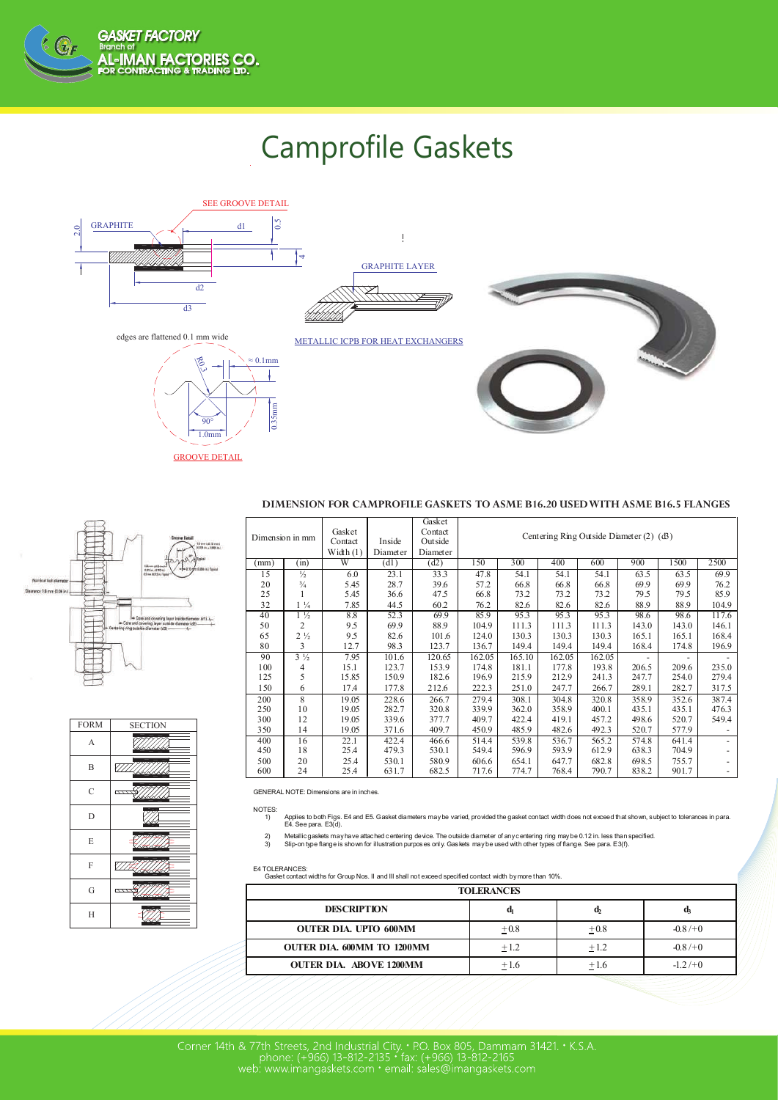

## Camprofile Gaskets





GROOVE DETAIL

## **DIMENSION FOR CAMPROFILE GASKETS TO ASME B16.20 USED WITH ASME B16.5 FLANGES**

| Dimension in mm |                | Gasket<br>Contact<br>Width $(1)$ | Inside<br>Diameter | Gasket<br>Contact<br>Outside<br>Diameter | Centering Ring Outside Diameter (2) (d3) |        |        |        |       |       |       |
|-----------------|----------------|----------------------------------|--------------------|------------------------------------------|------------------------------------------|--------|--------|--------|-------|-------|-------|
| mm)             | (in)           | W                                | (d1)               | (d2)                                     | 150                                      | 300    | 400    | 600    | 900   | 1500  | 2500  |
| 15              | $\frac{1}{2}$  | 6.0                              | 23.1               | 33.3                                     | 47.8                                     | 54.1   | 54.1   | 54.1   | 63.5  | 63.5  | 69.9  |
| 20              | $^{3}/_{4}$    | 5.45                             | 28.7               | 39.6                                     | 57.2                                     | 66.8   | 66.8   | 66.8   | 69.9  | 69.9  | 76.2  |
| 25              |                | 5.45                             | 36.6               | 47.5                                     | 66.8                                     | 73.2   | 73.2   | 73.2   | 79.5  | 79.5  | 85.9  |
| 32              | $1\frac{1}{4}$ | 7.85                             | 44.5               | 60.2                                     | 76.2                                     | 82.6   | 82.6   | 82.6   | 88.9  | 88.9  | 104.9 |
| 40              | $1\frac{1}{2}$ | 8.8                              | 52.3               | 69.9                                     | 85.9                                     | 95.3   | 95.3   | 95.3   | 98.6  | 98.6  | 117.6 |
| 50              | $\overline{c}$ | 9.5                              | 69.9               | 88.9                                     | 104.9                                    | 111.3  | 111.3  | 111.3  | 143.0 | 143.0 | 146.1 |
| 65              | $2\frac{1}{2}$ | 9.5                              | 82.6               | 101.6                                    | 124.0                                    | 130.3  | 130.3  | 130.3  | 165.1 | 165.1 | 168.4 |
| 80              | 3              | 12.7                             | 98.3               | 123.7                                    | 136.7                                    | 149.4  | 149.4  | 149.4  | 168.4 | 174.8 | 196.9 |
| 90              | $3\frac{1}{2}$ | 7.95                             | 101.6              | 120.65                                   | 162.05                                   | 165.10 | 162.05 | 162.05 |       |       |       |
| 100             | 4              | 15.1                             | 123.7              | 153.9                                    | 174.8                                    | 181.1  | 177.8  | 193.8  | 206.5 | 209.6 | 235.0 |
| 125             | 5              | 15.85                            | 150.9              | 182.6                                    | 196.9                                    | 215.9  | 212.9  | 241.3  | 247.7 | 254.0 | 279.4 |
| 150             | 6              | 17.4                             | 177.8              | 212.6                                    | 222.3                                    | 251.0  | 247.7  | 266.7  | 289.1 | 282.7 | 317.5 |
| 200             | 8              | 19.05                            | 228.6              | 266.7                                    | 279.4                                    | 308.1  | 304.8  | 320.8  | 358.9 | 352.6 | 387.4 |
| 250             | 10             | 19.05                            | 282.7              | 320.8                                    | 339.9                                    | 362.0  | 358.9  | 400.1  | 435.1 | 435.1 | 476.3 |
| 300             | 12             | 19.05                            | 339.6              | 377.7                                    | 409.7                                    | 422.4  | 419.1  | 457.2  | 498.6 | 520.7 | 549.4 |
| 350             | 14             | 19.05                            | 371.6              | 409.7                                    | 450.9                                    | 485.9  | 482.6  | 492.3  | 520.7 | 577.9 |       |
| 400             | 16             | 22.1                             | 422.4              | 466.6                                    | 514.4                                    | 539.8  | 536.7  | 565.2  | 574.8 | 641.4 |       |
| 450             | 18             | 25.4                             | 479.3              | 530.1                                    | 549.4                                    | 596.9  | 593.9  | 612.9  | 638.3 | 704.9 |       |
| 500             | 20             | 25.4                             | 530.1              | 580.9                                    | 606.6                                    | 654.1  | 647.7  | 682.8  | 698.5 | 755.7 |       |
| 600             | 24             | 25.4                             | 631.7              | 682.5                                    | 717.6                                    | 774.7  | 768.4  | 790.7  | 838.2 | 901.7 |       |

GENERAL NOTE: Dimensions are in inches.

NOTES:<br>1) 1) Applies to both Figs. E4 and E5. Gasket diameters maybe varied, provided the gasket contact width does not exceed that shown, subject to tolerances in para. E4. See para. E3(d).

2) Metallic gaskets may have attached centering device. The outside diameter of any centering ring may be 0.12 in. less than specified<br>3) Slip-on type flange is shown for illustration purposes only. Gaskets may be used wit

E4 TOLERANCES: Gasket contact widths for Group Nos. II and III shall not exceed specified contact width bymore than 10%.

| <b>TOLERANCES</b>                 |        |        |           |  |  |  |  |
|-----------------------------------|--------|--------|-----------|--|--|--|--|
| <b>DESCRIPTION</b>                | a,     | u,     |           |  |  |  |  |
| <b>OUTER DIA. UPTO 600MM</b>      | $+0.8$ | $+0.8$ | $-0.8/+0$ |  |  |  |  |
| <b>OUTER DIA. 600MM TO 1200MM</b> | $+1.2$ | $+1.2$ | $-0.8/+0$ |  |  |  |  |
| <b>OUTER DIA. ABOVE 1200MM</b>    | $+1.6$ | $+1.6$ | $-1.2/+0$ |  |  |  |  |
|                                   |        |        |           |  |  |  |  |



| <b>FORM</b>    | <b>SECTION</b>                   |
|----------------|----------------------------------|
| A              |                                  |
| B              |                                  |
| $\overline{C}$ | $\overline{\mathcal{I}}$<br>'N A |
| D              |                                  |
| E              | <b>MA</b>                        |
| F              | ≺≺                               |
| G              | ----                             |
| Н              |                                  |